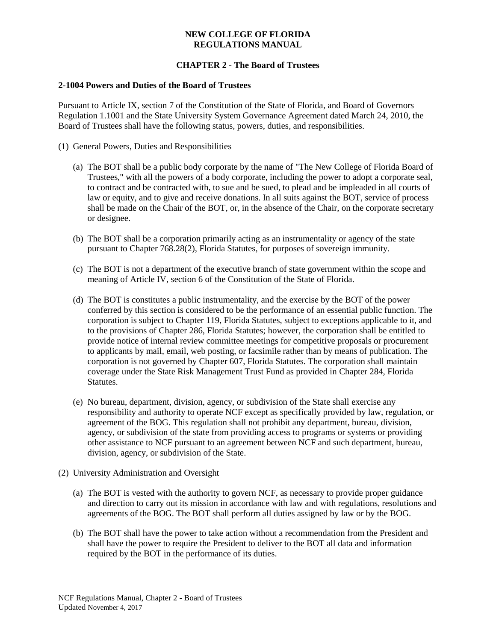# **CHAPTER 2 - The Board of Trustees**

#### **2-1004 Powers and Duties of the Board of Trustees**

Pursuant to Article IX, section 7 of the Constitution of the State of Florida, and Board of Governors Regulation 1.1001 and the State University System Governance Agreement dated March 24, 2010, the Board of Trustees shall have the following status, powers, duties, and responsibilities.

- (1) General Powers, Duties and Responsibilities
	- (a) The BOT shall be a public body corporate by the name of "The New College of Florida Board of Trustees," with all the powers of a body corporate, including the power to adopt a corporate seal, to contract and be contracted with, to sue and be sued, to plead and be impleaded in all courts of law or equity, and to give and receive donations. In all suits against the BOT, service of process shall be made on the Chair of the BOT, or, in the absence of the Chair, on the corporate secretary or designee.
	- (b) The BOT shall be a corporation primarily acting as an instrumentality or agency of the state pursuant to Chapter 768.28(2), Florida Statutes, for purposes of sovereign immunity.
	- (c) The BOT is not a department of the executive branch of state government within the scope and meaning of Article IV, section 6 of the Constitution of the State of Florida.
	- (d) The BOT is constitutes a public instrumentality, and the exercise by the BOT of the power conferred by this section is considered to be the performance of an essential public function. The corporation is subject to Chapter 119, Florida Statutes, subject to exceptions applicable to it, and to the provisions of Chapter 286, Florida Statutes; however, the corporation shall be entitled to provide notice of internal review committee meetings for competitive proposals or procurement to applicants by mail, email, web posting, or facsimile rather than by means of publication. The corporation is not governed by Chapter 607, Florida Statutes. The corporation shall maintain coverage under the State Risk Management Trust Fund as provided in Chapter 284, Florida Statutes.
	- (e) No bureau, department, division, agency, or subdivision of the State shall exercise any responsibility and authority to operate NCF except as specifically provided by law, regulation, or agreement of the BOG. This regulation shall not prohibit any department, bureau, division, agency, or subdivision of the state from providing access to programs or systems or providing other assistance to NCF pursuant to an agreement between NCF and such department, bureau, division, agency, or subdivision of the State.
- (2) University Administration and Oversight
	- (a) The BOT is vested with the authority to govern NCF, as necessary to provide proper guidance and direction to carry out its mission in accordance with law and with regulations, resolutions and agreements of the BOG. The BOT shall perform all duties assigned by law or by the BOG.
	- (b) The BOT shall have the power to take action without a recommendation from the President and shall have the power to require the President to deliver to the BOT all data and information required by the BOT in the performance of its duties.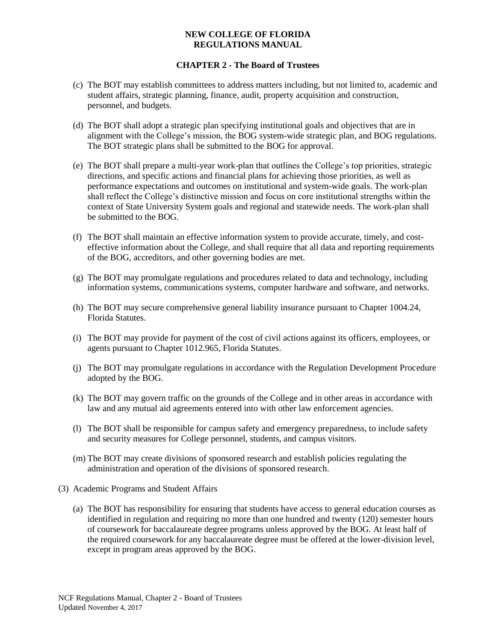- (c) The BOT may establish committees to address matters including, but not limited to, academic and student affairs, strategic planning, finance, audit, property acquisition and construction, personnel, and budgets.
- (d) The BOT shall adopt a strategic plan specifying institutional goals and objectives that are in alignment with the College's mission, the BOG system-wide strategic plan, and BOG regulations. The BOT strategic plans shall be submitted to the BOG for approval.
- (e) The BOT shall prepare a multi-year work-plan that outlines the College's top priorities, strategic directions, and specific actions and financial plans for achieving those priorities, as well as performance expectations and outcomes on institutional and system-wide goals. The work-plan shall reflect the College's distinctive mission and focus on core institutional strengths within the context of State University System goals and regional and statewide needs. The work-plan shall be submitted to the BOG.
- (f) The BOT shall maintain an effective information system to provide accurate, timely, and costeffective information about the College, and shall require that all data and reporting requirements of the BOG, accreditors, and other governing bodies are met.
- (g) The BOT may promulgate regulations and procedures related to data and technology, including information systems, communications systems, computer hardware and software, and networks.
- (h) The BOT may secure comprehensive general liability insurance pursuant to Chapter 1004.24, Florida Statutes.
- (i) The BOT may provide for payment of the cost of civil actions against its officers, employees, or agents pursuant to Chapter 1012.965, Florida Statutes.
- (j) The BOT may promulgate regulations in accordance with the Regulation Development Procedure adopted by the BOG.
- (k) The BOT may govern traffic on the grounds of the College and in other areas in accordance with law and any mutual aid agreements entered into with other law enforcement agencies.
- (l) The BOT shall be responsible for campus safety and emergency preparedness, to include safety and security measures for College personnel, students, and campus visitors.
- (m) The BOT may create divisions of sponsored research and establish policies regulating the administration and operation of the divisions of sponsored research.
- (3) Academic Programs and Student Affairs
	- (a) The BOT has responsibility for ensuring that students have access to general education courses as identified in regulation and requiring no more than one hundred and twenty (120) semester hours of coursework for baccalaureate degree programs unless approved by the BOG. At least half of the required coursework for any baccalaureate degree must be offered at the lower-division level, except in program areas approved by the BOG.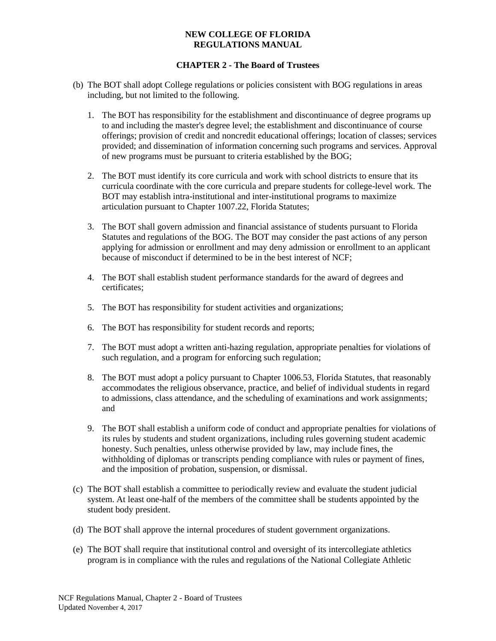- (b) The BOT shall adopt College regulations or policies consistent with BOG regulations in areas including, but not limited to the following.
	- 1. The BOT has responsibility for the establishment and discontinuance of degree programs up to and including the master's degree level; the establishment and discontinuance of course offerings; provision of credit and noncredit educational offerings; location of classes; services provided; and dissemination of information concerning such programs and services. Approval of new programs must be pursuant to criteria established by the BOG;
	- 2. The BOT must identify its core curricula and work with school districts to ensure that its curricula coordinate with the core curricula and prepare students for college-level work. The BOT may establish intra-institutional and inter-institutional programs to maximize articulation pursuant to Chapter 1007.22, Florida Statutes;
	- 3. The BOT shall govern admission and financial assistance of students pursuant to Florida Statutes and regulations of the BOG. The BOT may consider the past actions of any person applying for admission or enrollment and may deny admission or enrollment to an applicant because of misconduct if determined to be in the best interest of NCF;
	- 4. The BOT shall establish student performance standards for the award of degrees and certificates;
	- 5. The BOT has responsibility for student activities and organizations;
	- 6. The BOT has responsibility for student records and reports;
	- 7. The BOT must adopt a written anti-hazing regulation, appropriate penalties for violations of such regulation, and a program for enforcing such regulation;
	- 8. The BOT must adopt a policy pursuant to Chapter 1006.53, Florida Statutes, that reasonably accommodates the religious observance, practice, and belief of individual students in regard to admissions, class attendance, and the scheduling of examinations and work assignments; and
	- 9. The BOT shall establish a uniform code of conduct and appropriate penalties for violations of its rules by students and student organizations, including rules governing student academic honesty. Such penalties, unless otherwise provided by law, may include fines, the withholding of diplomas or transcripts pending compliance with rules or payment of fines, and the imposition of probation, suspension, or dismissal.
- (c) The BOT shall establish a committee to periodically review and evaluate the student judicial system. At least one-half of the members of the committee shall be students appointed by the student body president.
- (d) The BOT shall approve the internal procedures of student government organizations.
- (e) The BOT shall require that institutional control and oversight of its intercollegiate athletics program is in compliance with the rules and regulations of the National Collegiate Athletic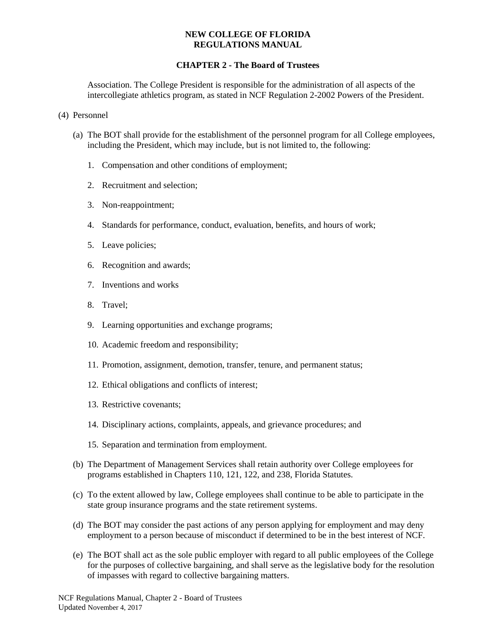## **CHAPTER 2 - The Board of Trustees**

Association. The College President is responsible for the administration of all aspects of the intercollegiate athletics program, as stated in NCF Regulation 2-2002 Powers of the President.

- (4) Personnel
	- (a) The BOT shall provide for the establishment of the personnel program for all College employees, including the President, which may include, but is not limited to, the following:
		- 1. Compensation and other conditions of employment;
		- 2. Recruitment and selection;
		- 3. Non-reappointment;
		- 4. Standards for performance, conduct, evaluation, benefits, and hours of work;
		- 5. Leave policies;
		- 6. Recognition and awards;
		- 7. Inventions and works
		- 8. Travel;
		- 9. Learning opportunities and exchange programs;
		- 10. Academic freedom and responsibility;
		- 11. Promotion, assignment, demotion, transfer, tenure, and permanent status;
		- 12. Ethical obligations and conflicts of interest;
		- 13. Restrictive covenants;
		- 14. Disciplinary actions, complaints, appeals, and grievance procedures; and
		- 15. Separation and termination from employment.
	- (b) The Department of Management Services shall retain authority over College employees for programs established in Chapters 110, 121, 122, and 238, Florida Statutes.
	- (c) To the extent allowed by law, College employees shall continue to be able to participate in the state group insurance programs and the state retirement systems.
	- (d) The BOT may consider the past actions of any person applying for employment and may deny employment to a person because of misconduct if determined to be in the best interest of NCF.
	- (e) The BOT shall act as the sole public employer with regard to all public employees of the College for the purposes of collective bargaining, and shall serve as the legislative body for the resolution of impasses with regard to collective bargaining matters.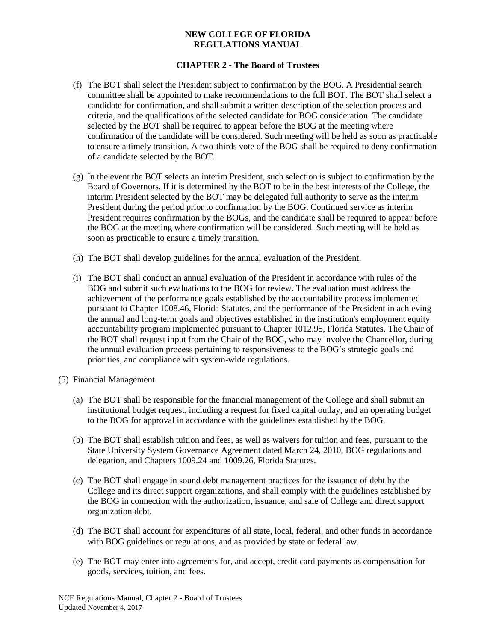- (f) The BOT shall select the President subject to confirmation by the BOG. A Presidential search committee shall be appointed to make recommendations to the full BOT. The BOT shall select a candidate for confirmation, and shall submit a written description of the selection process and criteria, and the qualifications of the selected candidate for BOG consideration. The candidate selected by the BOT shall be required to appear before the BOG at the meeting where confirmation of the candidate will be considered. Such meeting will be held as soon as practicable to ensure a timely transition. A two-thirds vote of the BOG shall be required to deny confirmation of a candidate selected by the BOT.
- (g) In the event the BOT selects an interim President, such selection is subject to confirmation by the Board of Governors. If it is determined by the BOT to be in the best interests of the College, the interim President selected by the BOT may be delegated full authority to serve as the interim President during the period prior to confirmation by the BOG. Continued service as interim President requires confirmation by the BOGs, and the candidate shall be required to appear before the BOG at the meeting where confirmation will be considered. Such meeting will be held as soon as practicable to ensure a timely transition.
- (h) The BOT shall develop guidelines for the annual evaluation of the President.
- (i) The BOT shall conduct an annual evaluation of the President in accordance with rules of the BOG and submit such evaluations to the BOG for review. The evaluation must address the achievement of the performance goals established by the accountability process implemented pursuant to Chapter 1008.46, Florida Statutes, and the performance of the President in achieving the annual and long-term goals and objectives established in the institution's employment equity accountability program implemented pursuant to Chapter 1012.95, Florida Statutes. The Chair of the BOT shall request input from the Chair of the BOG, who may involve the Chancellor, during the annual evaluation process pertaining to responsiveness to the BOG's strategic goals and priorities, and compliance with system-wide regulations.
- (5) Financial Management
	- (a) The BOT shall be responsible for the financial management of the College and shall submit an institutional budget request, including a request for fixed capital outlay, and an operating budget to the BOG for approval in accordance with the guidelines established by the BOG.
	- (b) The BOT shall establish tuition and fees, as well as waivers for tuition and fees, pursuant to the State University System Governance Agreement dated March 24, 2010, BOG regulations and delegation, and Chapters 1009.24 and 1009.26, Florida Statutes.
	- (c) The BOT shall engage in sound debt management practices for the issuance of debt by the College and its direct support organizations, and shall comply with the guidelines established by the BOG in connection with the authorization, issuance, and sale of College and direct support organization debt.
	- (d) The BOT shall account for expenditures of all state, local, federal, and other funds in accordance with BOG guidelines or regulations, and as provided by state or federal law.
	- (e) The BOT may enter into agreements for, and accept, credit card payments as compensation for goods, services, tuition, and fees.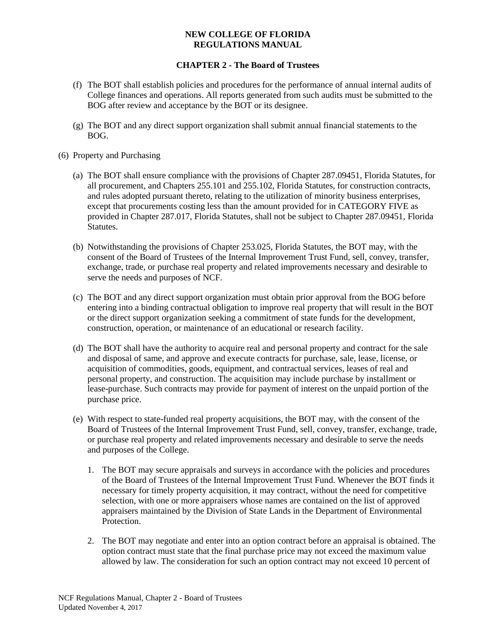- (f) The BOT shall establish policies and procedures for the performance of annual internal audits of College finances and operations. All reports generated from such audits must be submitted to the BOG after review and acceptance by the BOT or its designee.
- (g) The BOT and any direct support organization shall submit annual financial statements to the BOG.
- (6) Property and Purchasing
	- (a) The BOT shall ensure compliance with the provisions of Chapter 287.09451, Florida Statutes, for all procurement, and Chapters 255.101 and 255.102, Florida Statutes, for construction contracts, and rules adopted pursuant thereto, relating to the utilization of minority business enterprises, except that procurements costing less than the amount provided for in CATEGORY FIVE as provided in Chapter 287.017, Florida Statutes, shall not be subject to Chapter 287.09451, Florida Statutes.
	- (b) Notwithstanding the provisions of Chapter 253.025, Florida Statutes, the BOT may, with the consent of the Board of Trustees of the Internal Improvement Trust Fund, sell, convey, transfer, exchange, trade, or purchase real property and related improvements necessary and desirable to serve the needs and purposes of NCF.
	- (c) The BOT and any direct support organization must obtain prior approval from the BOG before entering into a binding contractual obligation to improve real property that will result in the BOT or the direct support organization seeking a commitment of state funds for the development, construction, operation, or maintenance of an educational or research facility.
	- (d) The BOT shall have the authority to acquire real and personal property and contract for the sale and disposal of same, and approve and execute contracts for purchase, sale, lease, license, or acquisition of commodities, goods, equipment, and contractual services, leases of real and personal property, and construction. The acquisition may include purchase by installment or lease-purchase. Such contracts may provide for payment of interest on the unpaid portion of the purchase price.
	- (e) With respect to state-funded real property acquisitions, the BOT may, with the consent of the Board of Trustees of the Internal Improvement Trust Fund, sell, convey, transfer, exchange, trade, or purchase real property and related improvements necessary and desirable to serve the needs and purposes of the College.
		- 1. The BOT may secure appraisals and surveys in accordance with the policies and procedures of the Board of Trustees of the Internal Improvement Trust Fund. Whenever the BOT finds it necessary for timely property acquisition, it may contract, without the need for competitive selection, with one or more appraisers whose names are contained on the list of approved appraisers maintained by the Division of State Lands in the Department of Environmental Protection.
		- 2. The BOT may negotiate and enter into an option contract before an appraisal is obtained. The option contract must state that the final purchase price may not exceed the maximum value allowed by law. The consideration for such an option contract may not exceed 10 percent of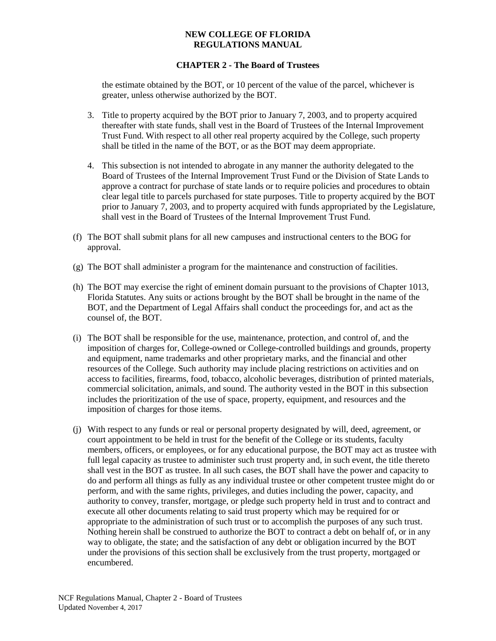# **CHAPTER 2 - The Board of Trustees**

the estimate obtained by the BOT, or 10 percent of the value of the parcel, whichever is greater, unless otherwise authorized by the BOT.

- 3. Title to property acquired by the BOT prior to January 7, 2003, and to property acquired thereafter with state funds, shall vest in the Board of Trustees of the Internal Improvement Trust Fund. With respect to all other real property acquired by the College, such property shall be titled in the name of the BOT, or as the BOT may deem appropriate.
- 4. This subsection is not intended to abrogate in any manner the authority delegated to the Board of Trustees of the Internal Improvement Trust Fund or the Division of State Lands to approve a contract for purchase of state lands or to require policies and procedures to obtain clear legal title to parcels purchased for state purposes. Title to property acquired by the BOT prior to January 7, 2003, and to property acquired with funds appropriated by the Legislature, shall vest in the Board of Trustees of the Internal Improvement Trust Fund.
- (f) The BOT shall submit plans for all new campuses and instructional centers to the BOG for approval.
- (g) The BOT shall administer a program for the maintenance and construction of facilities.
- (h) The BOT may exercise the right of eminent domain pursuant to the provisions of Chapter 1013, Florida Statutes. Any suits or actions brought by the BOT shall be brought in the name of the BOT, and the Department of Legal Affairs shall conduct the proceedings for, and act as the counsel of, the BOT.
- (i) The BOT shall be responsible for the use, maintenance, protection, and control of, and the imposition of charges for, College-owned or College-controlled buildings and grounds, property and equipment, name trademarks and other proprietary marks, and the financial and other resources of the College. Such authority may include placing restrictions on activities and on access to facilities, firearms, food, tobacco, alcoholic beverages, distribution of printed materials, commercial solicitation, animals, and sound. The authority vested in the BOT in this subsection includes the prioritization of the use of space, property, equipment, and resources and the imposition of charges for those items.
- (j) With respect to any funds or real or personal property designated by will, deed, agreement, or court appointment to be held in trust for the benefit of the College or its students, faculty members, officers, or employees, or for any educational purpose, the BOT may act as trustee with full legal capacity as trustee to administer such trust property and, in such event, the title thereto shall vest in the BOT as trustee. In all such cases, the BOT shall have the power and capacity to do and perform all things as fully as any individual trustee or other competent trustee might do or perform, and with the same rights, privileges, and duties including the power, capacity, and authority to convey, transfer, mortgage, or pledge such property held in trust and to contract and execute all other documents relating to said trust property which may be required for or appropriate to the administration of such trust or to accomplish the purposes of any such trust. Nothing herein shall be construed to authorize the BOT to contract a debt on behalf of, or in any way to obligate, the state; and the satisfaction of any debt or obligation incurred by the BOT under the provisions of this section shall be exclusively from the trust property, mortgaged or encumbered.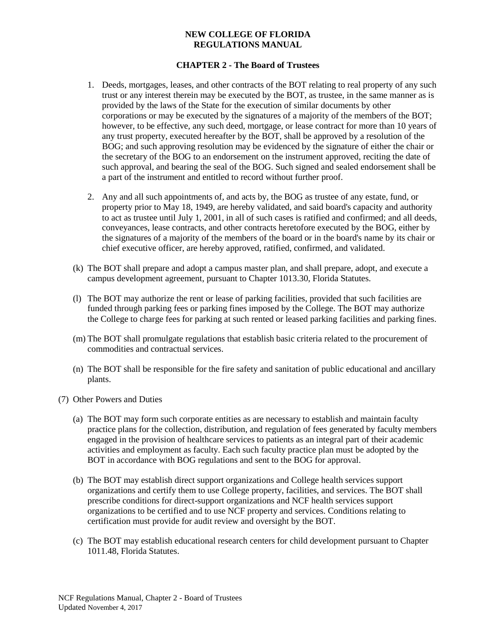- 1. Deeds, mortgages, leases, and other contracts of the BOT relating to real property of any such trust or any interest therein may be executed by the BOT, as trustee, in the same manner as is provided by the laws of the State for the execution of similar documents by other corporations or may be executed by the signatures of a majority of the members of the BOT; however, to be effective, any such deed, mortgage, or lease contract for more than 10 years of any trust property, executed hereafter by the BOT, shall be approved by a resolution of the BOG; and such approving resolution may be evidenced by the signature of either the chair or the secretary of the BOG to an endorsement on the instrument approved, reciting the date of such approval, and bearing the seal of the BOG. Such signed and sealed endorsement shall be a part of the instrument and entitled to record without further proof.
- 2. Any and all such appointments of, and acts by, the BOG as trustee of any estate, fund, or property prior to May 18, 1949, are hereby validated, and said board's capacity and authority to act as trustee until July 1, 2001, in all of such cases is ratified and confirmed; and all deeds, conveyances, lease contracts, and other contracts heretofore executed by the BOG, either by the signatures of a majority of the members of the board or in the board's name by its chair or chief executive officer, are hereby approved, ratified, confirmed, and validated.
- (k) The BOT shall prepare and adopt a campus master plan, and shall prepare, adopt, and execute a campus development agreement, pursuant to Chapter 1013.30, Florida Statutes.
- (l) The BOT may authorize the rent or lease of parking facilities, provided that such facilities are funded through parking fees or parking fines imposed by the College. The BOT may authorize the College to charge fees for parking at such rented or leased parking facilities and parking fines.
- (m) The BOT shall promulgate regulations that establish basic criteria related to the procurement of commodities and contractual services.
- (n) The BOT shall be responsible for the fire safety and sanitation of public educational and ancillary plants.
- (7) Other Powers and Duties
	- (a) The BOT may form such corporate entities as are necessary to establish and maintain faculty practice plans for the collection, distribution, and regulation of fees generated by faculty members engaged in the provision of healthcare services to patients as an integral part of their academic activities and employment as faculty. Each such faculty practice plan must be adopted by the BOT in accordance with BOG regulations and sent to the BOG for approval.
	- (b) The BOT may establish direct support organizations and College health services support organizations and certify them to use College property, facilities, and services. The BOT shall prescribe conditions for direct-support organizations and NCF health services support organizations to be certified and to use NCF property and services. Conditions relating to certification must provide for audit review and oversight by the BOT.
	- (c) The BOT may establish educational research centers for child development pursuant to Chapter 1011.48, Florida Statutes.